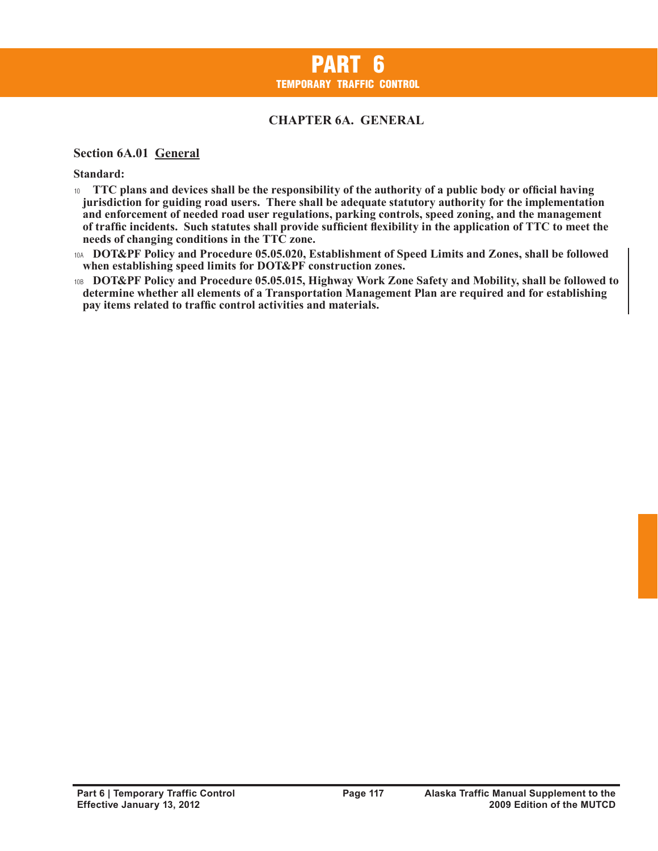# **CHAPTER 6A. GENERAL**

#### **Section 6A.01 General**

**Standard:**

- <sup>10</sup>**TTC plans and devices shall be the responsibility of the authority of a public body or official having jurisdiction for guiding road users. There shall be adequate statutory authority for the implementation and enforcement of needed road user regulations, parking controls, speed zoning, and the management of traffic incidents. Such statutes shall provide sufficient flexibility in the application of TTC to meet the needs of changing conditions in the TTC zone.**
- 10A **DOT&PF Policy and Procedure 05.05.020, Establishment of Speed Limits and Zones, shall be followed when establishing speed limits for DOT&PF construction zones.**
- 10B **DOT&PF Policy and Procedure 05.05.015, Highway Work Zone Safety and Mobility, shall be followed to determine whether all elements of a Transportation Management Plan are required and for establishing pay items related to traffic control activities and materials.**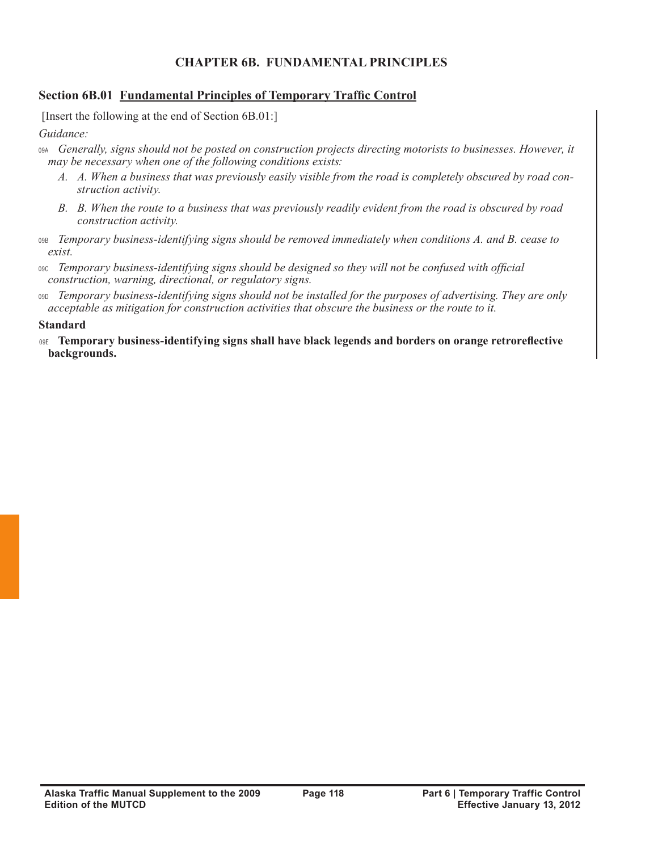# **CHAPTER 6B. FUNDAMENTAL PRINCIPLES**

### **Section 6B.01 Fundamental Principles of Temporary Traffic Control**

[Insert the following at the end of Section 6B.01:]

*Guidance:*

- 09A *Generally, signs should not be posted on construction projects directing motorists to businesses. However, it may be necessary when one of the following conditions exists:*
	- *A. A. When a business that was previously easily visible from the road is completely obscured by road construction activity.*
	- *B. B. When the route to a business that was previously readily evident from the road is obscured by road construction activity.*
- 09B *Temporary business-identifying signs should be removed immediately when conditions A. and B. cease to exist.*
- 09C *Temporary business-identifying signs should be designed so they will not be confused with official construction, warning, directional, or regulatory signs.*
- 09D *Temporary business-identifying signs should not be installed for the purposes of advertising. They are only acceptable as mitigation for construction activities that obscure the business or the route to it.*

### **Standard**

09E **Temporary business-identifying signs shall have black legends and borders on orange retroreflective backgrounds.**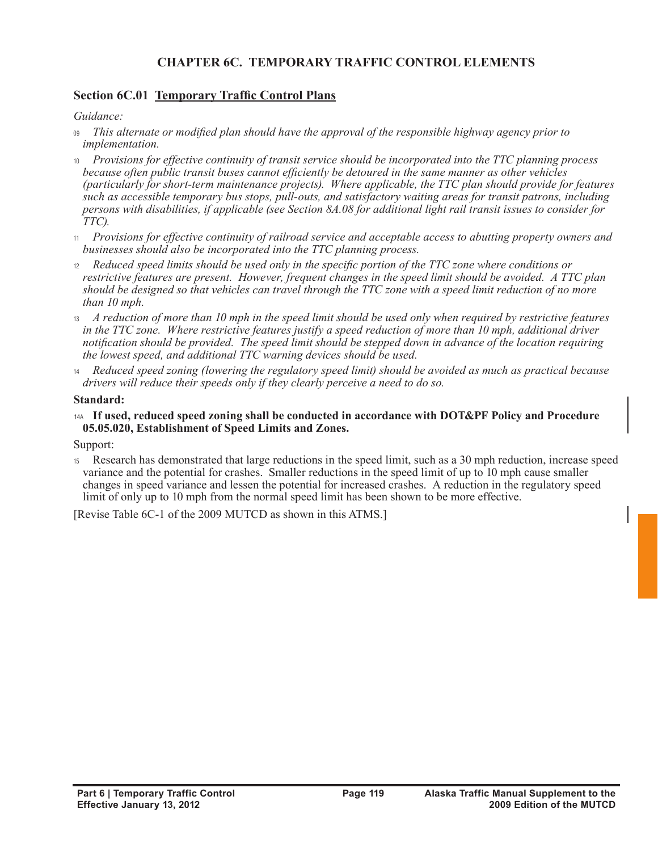# **CHAPTER 6C. TEMPORARY TRAFFIC CONTROL ELEMENTS**

### **Section 6C.01 Temporary Traffic Control Plans**

*Guidance:*

- <sup>09</sup>*This alternate or modified plan should have the approval of the responsible highway agency prior to implementation.*
- <sup>10</sup>*Provisions for effective continuity of transit service should be incorporated into the TTC planning process because often public transit buses cannot efficiently be detoured in the same manner as other vehicles (particularly for short-term maintenance projects). Where applicable, the TTC plan should provide for features such as accessible temporary bus stops, pull-outs, and satisfactory waiting areas for transit patrons, including persons with disabilities, if applicable (see Section 8A.08 for additional light rail transit issues to consider for TTC).*
- <sup>11</sup>*Provisions for effective continuity of railroad service and acceptable access to abutting property owners and businesses should also be incorporated into the TTC planning process.*
- <sup>12</sup>*Reduced speed limits should be used only in the specific portion of the TTC zone where conditions or restrictive features are present. However, frequent changes in the speed limit should be avoided. A TTC plan should be designed so that vehicles can travel through the TTC zone with a speed limit reduction of no more than 10 mph.*
- <sup>13</sup>*A reduction of more than 10 mph in the speed limit should be used only when required by restrictive features in the TTC zone. Where restrictive features justify a speed reduction of more than 10 mph, additional driver notification should be provided. The speed limit should be stepped down in advance of the location requiring the lowest speed, and additional TTC warning devices should be used.*
- <sup>14</sup>*Reduced speed zoning (lowering the regulatory speed limit) should be avoided as much as practical because drivers will reduce their speeds only if they clearly perceive a need to do so.*

#### **Standard:**

#### 14A **If used, reduced speed zoning shall be conducted in accordance with DOT&PF Policy and Procedure 05.05.020, Establishment of Speed Limits and Zones.**

Support:

<sup>15</sup>Research has demonstrated that large reductions in the speed limit, such as a 30 mph reduction, increase speed variance and the potential for crashes. Smaller reductions in the speed limit of up to 10 mph cause smaller changes in speed variance and lessen the potential for increased crashes. A reduction in the regulatory speed limit of only up to 10 mph from the normal speed limit has been shown to be more effective.

[Revise Table 6C-1 of the 2009 MUTCD as shown in this ATMS.]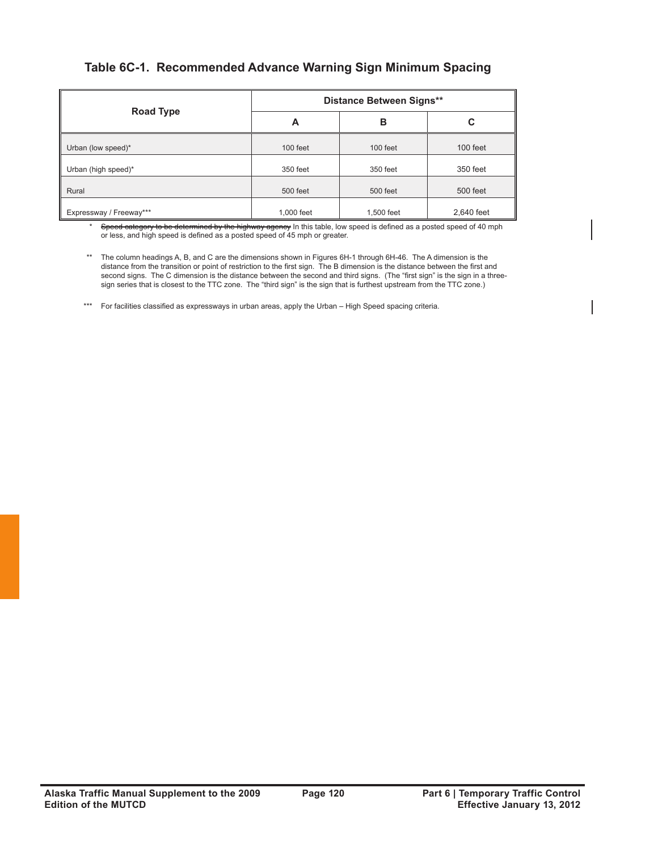# **Table 6C-1. Recommended Advance Warning Sign Minimum Spacing**

|                         | <b>Distance Between Signs**</b> |            |            |  |
|-------------------------|---------------------------------|------------|------------|--|
| Road Type               | A                               | в          | С          |  |
| Urban (low speed)*      | 100 feet                        | 100 feet   | 100 feet   |  |
| Urban (high speed)*     | 350 feet                        | 350 feet   | 350 feet   |  |
| Rural                   | 500 feet                        | 500 feet   | 500 feet   |  |
| Expressway / Freeway*** | 1,000 feet                      | 1,500 feet | 2,640 feet |  |

Speed category to be determined by the highway agency In this table, low speed is defined as a posted speed of 40 mph or less, and high speed is defined as a posted speed of 45 mph or greater.

\*\* The column headings A, B, and C are the dimensions shown in Figures 6H-1 through 6H-46. The A dimension is the distance from the transition or point of restriction to the first sign. The B dimension is the distance between the first and second signs. The C dimension is the distance between the second and third signs. (The "first sign" is the sign in a threesign series that is closest to the TTC zone. The "third sign" is the sign that is furthest upstream from the TTC zone.)

\*\*\* For facilities classified as expressways in urban areas, apply the Urban – High Speed spacing criteria.

\*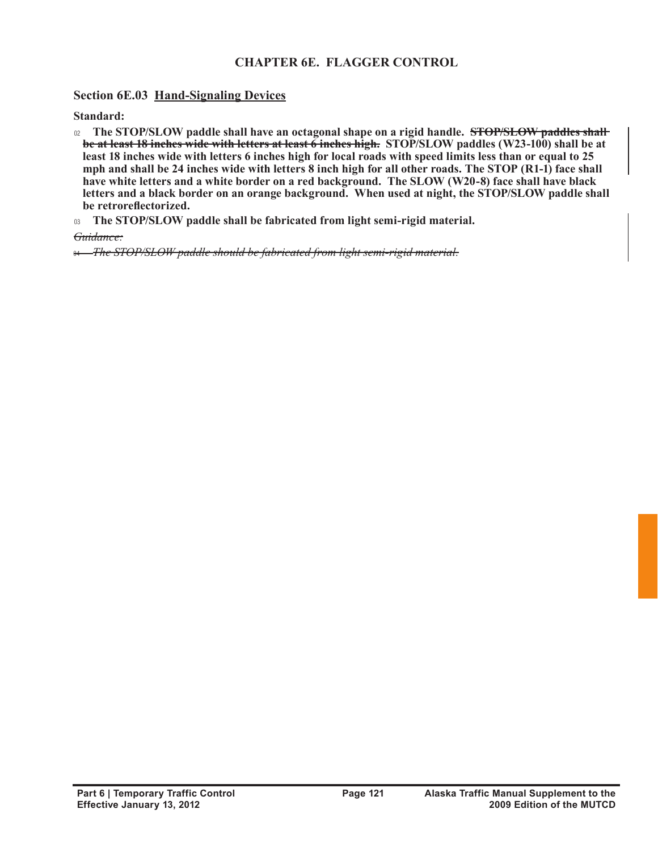# **CHAPTER 6E. FLAGGER CONTROL**

### **Section 6E.03 Hand-Signaling Devices**

**Standard:**

- <sup>02</sup>**The STOP/SLOW paddle shall have an octagonal shape on a rigid handle. STOP/SLOW paddles shall be at least 18 inches wide with letters at least 6 inches high. STOP/SLOW paddles (W23-100) shall be at least 18 inches wide with letters 6 inches high for local roads with speed limits less than or equal to 25 mph and shall be 24 inches wide with letters 8 inch high for all other roads. The STOP (R1-1) face shall have white letters and a white border on a red background. The SLOW (W20-8) face shall have black letters and a black border on an orange background. When used at night, the STOP/SLOW paddle shall be retroreflectorized.**
- <sup>03</sup>**The STOP/SLOW paddle shall be fabricated from light semi-rigid material.**

*Guidance:*

04 *The STOP/SLOW paddle should be fabricated from light semi-rigid material.*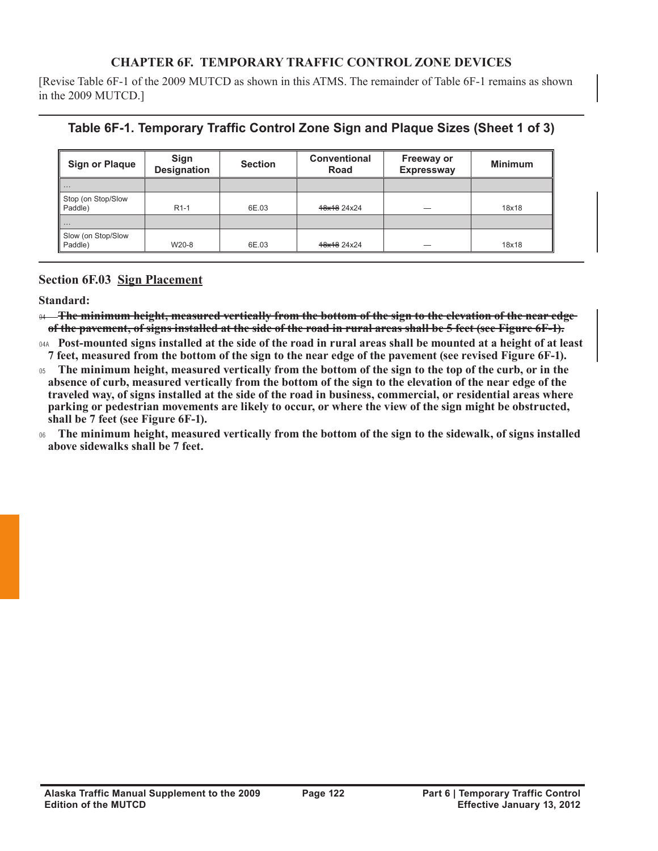# **CHAPTER 6F. TEMPORARY TRAFFIC CONTROL ZONE DEVICES**

[Revise Table 6F-1 of the 2009 MUTCD as shown in this ATMS. The remainder of Table 6F-1 remains as shown in the 2009 MUTCD.]

# **Table 6F-1. Temporary Traffic Control Zone Sign and Plaque Sizes (Sheet 1 of 3)**

| <b>Sign or Plaque</b>         | Sign<br><b>Designation</b> | <b>Section</b> | <b>Conventional</b><br>Road | <b>Freeway or</b><br><b>Expressway</b> | <b>Minimum</b> |
|-------------------------------|----------------------------|----------------|-----------------------------|----------------------------------------|----------------|
| $\cdots$                      |                            |                |                             |                                        |                |
| Stop (on Stop/Slow<br>Paddle) | $R1-1$                     | 6E.03          | 48x18 24x24                 |                                        | 18x18          |
| $\cdots$                      |                            |                |                             |                                        |                |
| Slow (on Stop/Slow<br>Paddle) | W20-8                      | 6E.03          | 48x18 24x24                 |                                        | 18x18          |

### **Section 6F.03 Sign Placement**

**Standard:**

<sup>04</sup>**The minimum height, measured vertically from the bottom of the sign to the elevation of the near edge of the pavement, of signs installed at the side of the road in rural areas shall be 5 feet (see Figure 6F-1).**

04A **Post-mounted signs installed at the side of the road in rural areas shall be mounted at a height of at least 7 feet, measured from the bottom of the sign to the near edge of the pavement (see revised Figure 6F-1).**

<sup>05</sup>**The minimum height, measured vertically from the bottom of the sign to the top of the curb, or in the absence of curb, measured vertically from the bottom of the sign to the elevation of the near edge of the traveled way, of signs installed at the side of the road in business, commercial, or residential areas where parking or pedestrian movements are likely to occur, or where the view of the sign might be obstructed, shall be 7 feet (see Figure 6F-1).**

<sup>06</sup>**The minimum height, measured vertically from the bottom of the sign to the sidewalk, of signs installed above sidewalks shall be 7 feet.**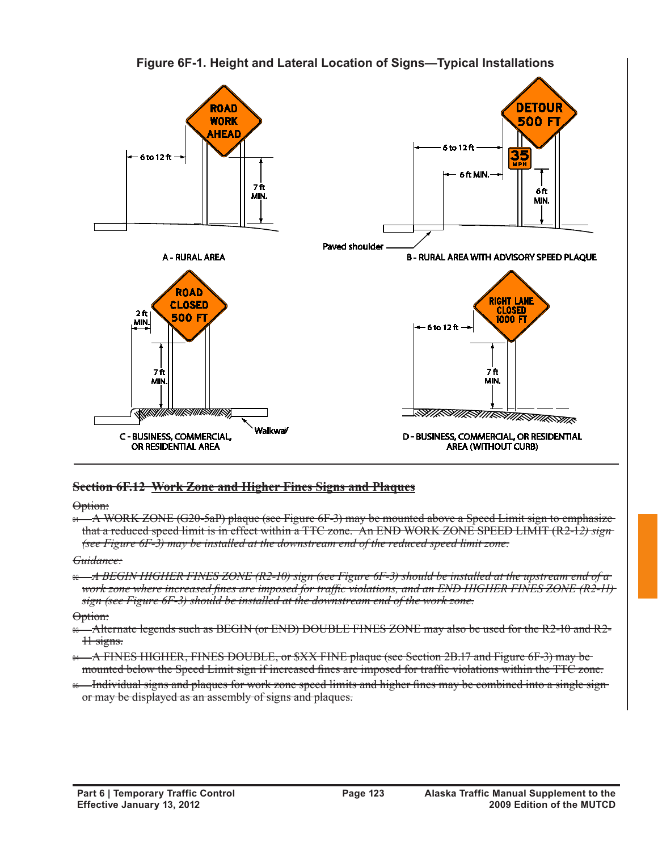

**Figure 6F-1. Height and Lateral Location of Signs—Typical Installations** 

### **Section 6F.12 Work Zone and Higher Fines Signs and Plaques**

Option:

 $\theta$   $\rightarrow$  A WORK ZONE (G20-5aP) plaque (see Figure 6F-3) may be mounted above a Speed Limit sign to emphasize that a reduced speed limit is in effect within a TTC zone. An END WORK ZONE SPEED LIMIT (R2-1*2) sign (see Figure 6F-3) may be installed at the downstream end of the reduced speed limit zone.*

*Guidance:*

<sup>02</sup>*A BEGIN HIGHER FINES ZONE (R2-10) sign (see Figure 6F-3) should be installed at the upstream end of a work zone where increased fines are imposed for traffic violations, and an END HIGHER FINES ZONE (R2-11) sign (see Figure 6F-3) should be installed at the downstream end of the work zone.*

Option:

<sup>03</sup> Alternate legends such as BEGIN (or END) DOUBLE FINES ZONE may also be used for the R2-10 and R2-11 signs.

- <sup>04</sup> A FINES HIGHER, FINES DOUBLE, or \$XX FINE plaque (see Section 2B.17 and Figure 6F-3) may be mounted below the Speed Limit sign if increased fines are imposed for traffic violations within the TTC zone.
- <sup>65</sup> Individual signs and plaques for work zone speed limits and higher fines may be combined into a single signor may be displayed as an assembly of signs and plaques.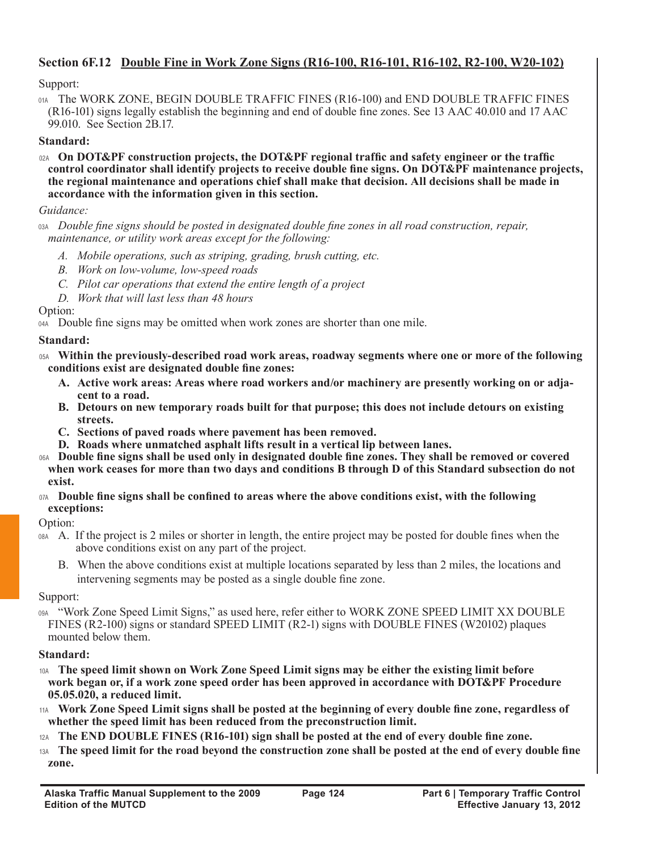# **Section 6F.12 Double Fine in Work Zone Signs (R16-100, R16-101, R16-102, R2-100, W20-102)**

### Support:

01A The WORK ZONE, BEGIN DOUBLE TRAFFIC FINES (R16-100) and END DOUBLE TRAFFIC FINES (R16-101) signs legally establish the beginning and end of double fine zones. See 13 AAC 40.010 and 17 AAC 99.010. See Section 2B.17.

### **Standard:**

02A **On DOT&PF construction projects, the DOT&PF regional traffic and safety engineer or the traffic control coordinator shall identify projects to receive double fine signs. On DOT&PF maintenance projects, the regional maintenance and operations chief shall make that decision. All decisions shall be made in accordance with the information given in this section.** 

### *Guidance:*

03A *Double fine signs should be posted in designated double fine zones in all road construction, repair, maintenance, or utility work areas except for the following:*

- *A. Mobile operations, such as striping, grading, brush cutting, etc.*
- *B. Work on low-volume, low-speed roads*
- *C. Pilot car operations that extend the entire length of a project*
- *D. Work that will last less than 48 hours*

Option:

04A Double fine signs may be omitted when work zones are shorter than one mile.

### **Standard:**

- 05A **Within the previously-described road work areas, roadway segments where one or more of the following conditions exist are designated double fine zones:**
	- **A. Active work areas: Areas where road workers and/or machinery are presently working on or adjacent to a road.**
	- **B. Detours on new temporary roads built for that purpose; this does not include detours on existing streets.**
	- **C. Sections of paved roads where pavement has been removed.**
	- **D. Roads where unmatched asphalt lifts result in a vertical lip between lanes.**
- 06A **Double fine signs shall be used only in designated double fine zones. They shall be removed or covered when work ceases for more than two days and conditions B through D of this Standard subsection do not exist.**
- 07A **Double fine signs shall be confined to areas where the above conditions exist, with the following exceptions:**

Option:

- 08A A. If the project is 2 miles or shorter in length, the entire project may be posted for double fines when the above conditions exist on any part of the project.
	- B. When the above conditions exist at multiple locations separated by less than 2 miles, the locations and intervening segments may be posted as a single double fine zone.

Support:

"Work Zone Speed Limit Signs," as used here, refer either to WORK ZONE SPEED LIMIT XX DOUBLE FINES (R2-100) signs or standard SPEED LIMIT (R2-1) signs with DOUBLE FINES (W20102) plaques mounted below them.

### **Standard:**

- 10A **The speed limit shown on Work Zone Speed Limit signs may be either the existing limit before work began or, if a work zone speed order has been approved in accordance with DOT&PF Procedure 05.05.020, a reduced limit.**
- 11A **Work Zone Speed Limit signs shall be posted at the beginning of every double fine zone, regardless of whether the speed limit has been reduced from the preconstruction limit.**
- The END DOUBLE FINES (R16-101) sign shall be posted at the end of every double fine zone.
- 13A **The speed limit for the road beyond the construction zone shall be posted at the end of every double fine zone.**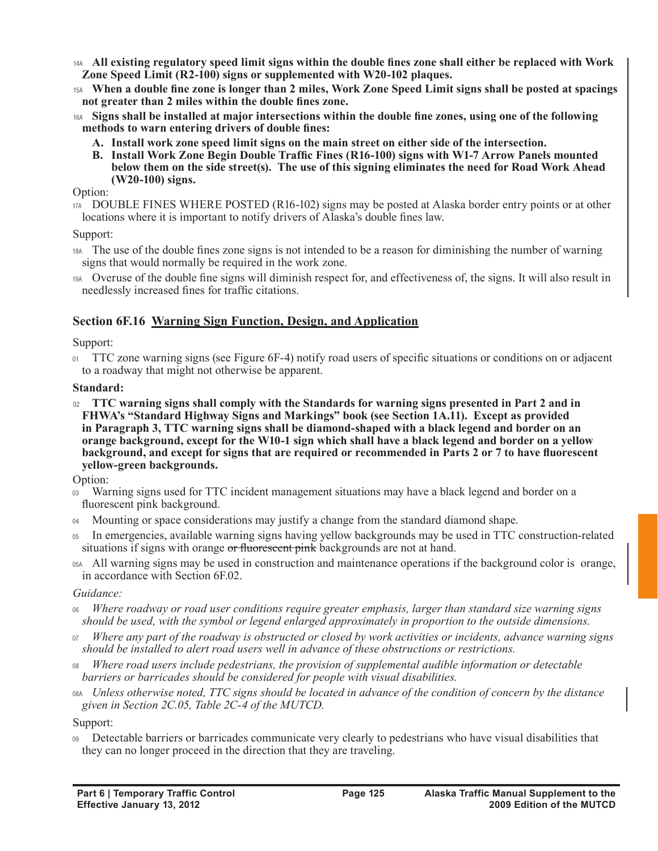- 14A **All existing regulatory speed limit signs within the double fines zone shall either be replaced with Work Zone Speed Limit (R2-100) signs or supplemented with W20-102 plaques.**
- 15A **When a double fine zone is longer than 2 miles, Work Zone Speed Limit signs shall be posted at spacings not greater than 2 miles within the double fines zone.**
- 16A **Signs shall be installed at major intersections within the double fine zones, using one of the following methods to warn entering drivers of double fines:**
	- **A. Install work zone speed limit signs on the main street on either side of the intersection.**
	- **B. Install Work Zone Begin Double Traffic Fines (R16-100) signs with W1-7 Arrow Panels mounted below them on the side street(s). The use of this signing eliminates the need for Road Work Ahead (W20-100) signs.**

Option:

17A DOUBLE FINES WHERE POSTED (R16-102) signs may be posted at Alaska border entry points or at other locations where it is important to notify drivers of Alaska's double fines law.

#### Support:

18A The use of the double fines zone signs is not intended to be a reason for diminishing the number of warning signs that would normally be required in the work zone.

19A Overuse of the double fine signs will diminish respect for, and effectiveness of, the signs. It will also result in needlessly increased fines for traffic citations.

### **Section 6F.16 Warning Sign Function, Design, and Application**

### Support:

<sup>01</sup>TTC zone warning signs (see Figure 6F-4) notify road users of specific situations or conditions on or adjacent to a roadway that might not otherwise be apparent.

### **Standard:**

<sup>02</sup>**TTC warning signs shall comply with the Standards for warning signs presented in Part 2 and in FHWA's "Standard Highway Signs and Markings" book (see Section 1A.11). Except as provided in Paragraph 3, TTC warning signs shall be diamond-shaped with a black legend and border on an orange background, except for the W10-1 sign which shall have a black legend and border on a yellow background, and except for signs that are required or recommended in Parts 2 or 7 to have fluorescent yellow-green backgrounds.**

Option:

- <sup>03</sup> Warning signs used for TTC incident management situations may have a black legend and border on a fluorescent pink background.
- 04 Mounting or space considerations may justify a change from the standard diamond shape.
- <sup>05</sup>In emergencies, available warning signs having yellow backgrounds may be used in TTC construction-related situations if signs with orange or fluorescent pink backgrounds are not at hand.
- 05A All warning signs may be used in construction and maintenance operations if the background color is orange, in accordance with Section 6F.02.

### *Guidance:*

- <sup>06</sup>*Where roadway or road user conditions require greater emphasis, larger than standard size warning signs should be used, with the symbol or legend enlarged approximately in proportion to the outside dimensions.*
- <sup>07</sup>*Where any part of the roadway is obstructed or closed by work activities or incidents, advance warning signs should be installed to alert road users well in advance of these obstructions or restrictions.*
- <sup>08</sup>*Where road users include pedestrians, the provision of supplemental audible information or detectable barriers or barricades should be considered for people with visual disabilities.*
- 08A *Unless otherwise noted, TTC signs should be located in advance of the condition of concern by the distance given in Section 2C.05, Table 2C-4 of the MUTCD.*

Support:

<sup>09</sup>Detectable barriers or barricades communicate very clearly to pedestrians who have visual disabilities that they can no longer proceed in the direction that they are traveling.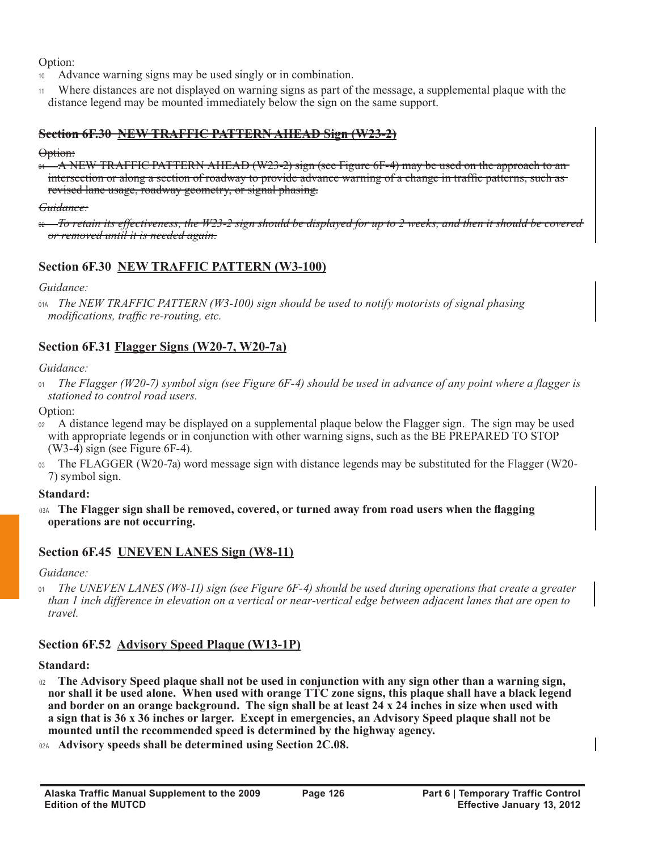Option:

- Advance warning signs may be used singly or in combination.
- <sup>11</sup>Where distances are not displayed on warning signs as part of the message, a supplemental plaque with the distance legend may be mounted immediately below the sign on the same support.

### **Section 6F.30 NEW TRAFFIC PATTERN AHEAD Sign (W23-2)**

#### Option:

 $\theta$ <sup>4</sup> A NEW TRAFFIC PATTERN AHEAD (W23-2) sign (see Figure 6F-4) may be used on the approach to an intersection or along a section of roadway to provide advance warning of a change in traffic patterns, such as revised lane usage, roadway geometry, or signal phasing.

### *Guidance:*

<sup>02</sup>*To retain its effectiveness, the W23-2 sign should be displayed for up to 2 weeks, and then it should be covered or removed until it is needed again.*

# **Section 6F.30 NEW TRAFFIC PATTERN (W3-100)**

*Guidance:*

01A *The NEW TRAFFIC PATTERN (W3-100) sign should be used to notify motorists of signal phasing modifications, traffic re-routing, etc.*

# **Section 6F.31 Flagger Signs (W20-7, W20-7a)**

### *Guidance:*

<sup>01</sup>*The Flagger (W20-7) symbol sign (see Figure 6F-4) should be used in advance of any point where a flagger is stationed to control road users.*

Option:

- A distance legend may be displayed on a supplemental plaque below the Flagger sign. The sign may be used with appropriate legends or in conjunction with other warning signs, such as the BE PREPARED TO STOP (W3-4) sign (see Figure 6F-4).
- $\alpha$ <sup>3</sup> The FLAGGER (W20-7a) word message sign with distance legends may be substituted for the Flagger (W20-7) symbol sign.

### **Standard:**

03A **The Flagger sign shall be removed, covered, or turned away from road users when the flagging operations are not occurring.**

# **Section 6F.45 UNEVEN LANES Sign (W8-11)**

*Guidance:*

<sup>01</sup>*The UNEVEN LANES (W8-11) sign (see Figure 6F-4) should be used during operations that create a greater than 1 inch difference in elevation on a vertical or near-vertical edge between adjacent lanes that are open to travel.*

# **Section 6F.52 Advisory Speed Plaque (W13-1P)**

**Standard:**

- <sup>02</sup>**The Advisory Speed plaque shall not be used in conjunction with any sign other than a warning sign, nor shall it be used alone. When used with orange TTC zone signs, this plaque shall have a black legend and border on an orange background. The sign shall be at least 24 x 24 inches in size when used with a sign that is 36 x 36 inches or larger. Except in emergencies, an Advisory Speed plaque shall not be mounted until the recommended speed is determined by the highway agency.**
- 02A **Advisory speeds shall be determined using Section 2C.08.**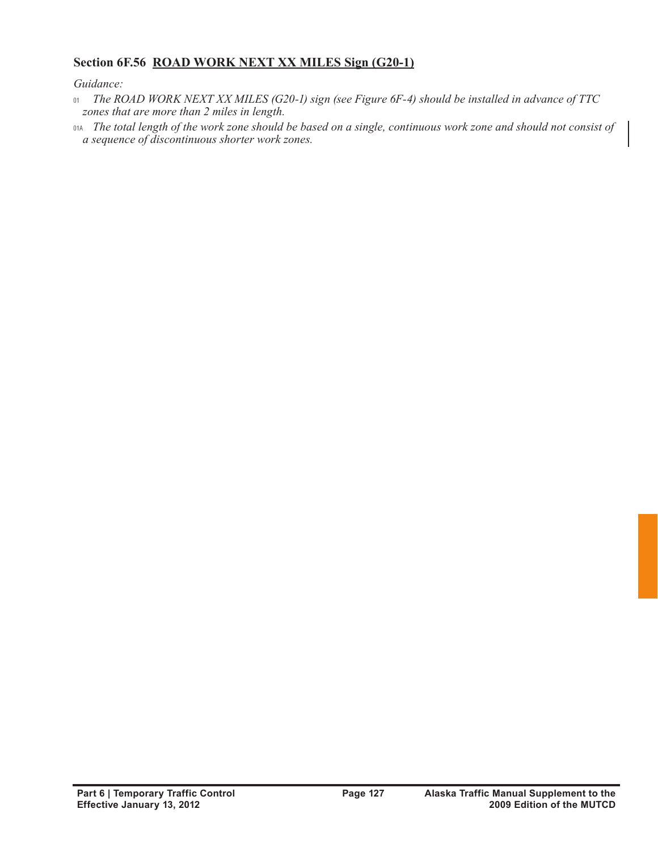# **Section 6F.56 ROAD WORK NEXT XX MILES Sign (G20-1)**

*Guidance:*

- <sup>01</sup>*The ROAD WORK NEXT XX MILES (G20-1) sign (see Figure 6F-4) should be installed in advance of TTC zones that are more than 2 miles in length.*
- 01A *The total length of the work zone should be based on a single, continuous work zone and should not consist of a sequence of discontinuous shorter work zones.*